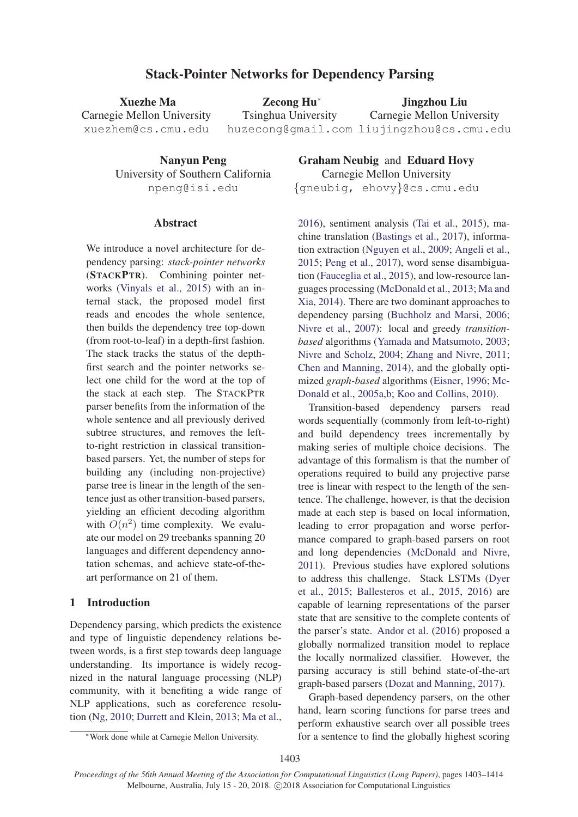# Stack-Pointer Networks for Dependency Parsing

Xuezhe Ma Carnegie Mellon University xuezhem@cs.cmu.edu Zecong Hu<sup>∗</sup> Tsinghua University huzecong@gmail.com liujingzhou@cs.cmu.edu Jingzhou Liu Carnegie Mellon University

Nanyun Peng University of Southern California npeng@isi.edu

## Abstract

We introduce a novel architecture for dependency parsing: *stack-pointer networks* (STACKPTR). Combining pointer networks (Vinyals et al., 2015) with an internal stack, the proposed model first reads and encodes the whole sentence, then builds the dependency tree top-down (from root-to-leaf) in a depth-first fashion. The stack tracks the status of the depthfirst search and the pointer networks select one child for the word at the top of the stack at each step. The STACKPTR parser benefits from the information of the whole sentence and all previously derived subtree structures, and removes the leftto-right restriction in classical transitionbased parsers. Yet, the number of steps for building any (including non-projective) parse tree is linear in the length of the sentence just as other transition-based parsers, yielding an efficient decoding algorithm with  $O(n^2)$  time complexity. We evaluate our model on 29 treebanks spanning 20 languages and different dependency annotation schemas, and achieve state-of-theart performance on 21 of them.

## 1 Introduction

Dependency parsing, which predicts the existence and type of linguistic dependency relations between words, is a first step towards deep language understanding. Its importance is widely recognized in the natural language processing (NLP) community, with it benefiting a wide range of NLP applications, such as coreference resolution (Ng, 2010; Durrett and Klein, 2013; Ma et al.,

Graham Neubig and Eduard Hovy Carnegie Mellon University {gneubig, ehovy}@cs.cmu.edu

2016), sentiment analysis (Tai et al., 2015), machine translation (Bastings et al., 2017), information extraction (Nguyen et al., 2009; Angeli et al., 2015; Peng et al., 2017), word sense disambiguation (Fauceglia et al., 2015), and low-resource languages processing (McDonald et al., 2013; Ma and Xia, 2014). There are two dominant approaches to dependency parsing (Buchholz and Marsi, 2006; Nivre et al., 2007): local and greedy *transitionbased* algorithms (Yamada and Matsumoto, 2003; Nivre and Scholz, 2004; Zhang and Nivre, 2011; Chen and Manning, 2014), and the globally optimized *graph-based* algorithms (Eisner, 1996; Mc-Donald et al., 2005a,b; Koo and Collins, 2010).

Transition-based dependency parsers read words sequentially (commonly from left-to-right) and build dependency trees incrementally by making series of multiple choice decisions. The advantage of this formalism is that the number of operations required to build any projective parse tree is linear with respect to the length of the sentence. The challenge, however, is that the decision made at each step is based on local information, leading to error propagation and worse performance compared to graph-based parsers on root and long dependencies (McDonald and Nivre, 2011). Previous studies have explored solutions to address this challenge. Stack LSTMs (Dyer et al., 2015; Ballesteros et al., 2015, 2016) are capable of learning representations of the parser state that are sensitive to the complete contents of the parser's state. Andor et al. (2016) proposed a globally normalized transition model to replace the locally normalized classifier. However, the parsing accuracy is still behind state-of-the-art graph-based parsers (Dozat and Manning, 2017).

Graph-based dependency parsers, on the other hand, learn scoring functions for parse trees and perform exhaustive search over all possible trees for a sentence to find the globally highest scoring

<sup>∗</sup>Work done while at Carnegie Mellon University.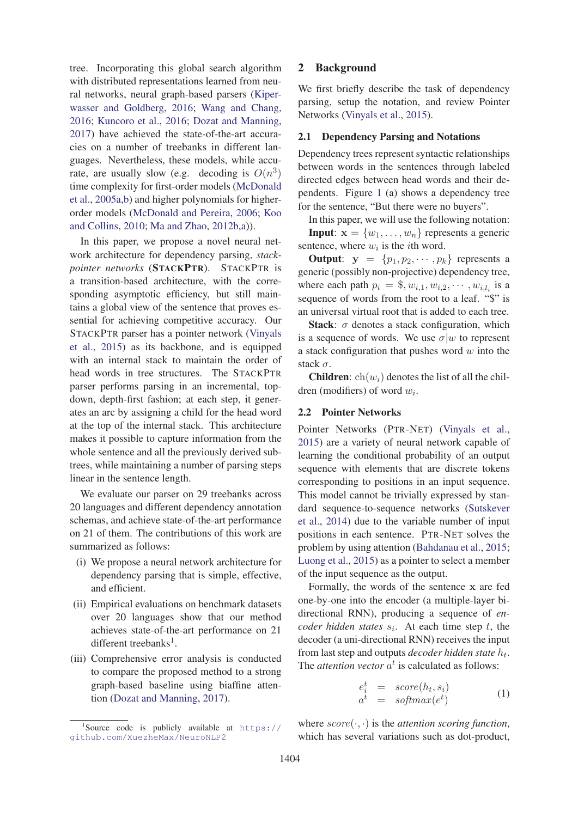tree. Incorporating this global search algorithm with distributed representations learned from neural networks, neural graph-based parsers (Kiperwasser and Goldberg, 2016; Wang and Chang, 2016; Kuncoro et al., 2016; Dozat and Manning, 2017) have achieved the state-of-the-art accuracies on a number of treebanks in different languages. Nevertheless, these models, while accurate, are usually slow (e.g. decoding is  $O(n^3)$ ) time complexity for first-order models (McDonald et al., 2005a,b) and higher polynomials for higherorder models (McDonald and Pereira, 2006; Koo and Collins, 2010; Ma and Zhao, 2012b,a)).

In this paper, we propose a novel neural network architecture for dependency parsing, *stackpointer networks* (STACKPTR). STACKPTR is a transition-based architecture, with the corresponding asymptotic efficiency, but still maintains a global view of the sentence that proves essential for achieving competitive accuracy. Our STACKPTR parser has a pointer network (Vinyals et al., 2015) as its backbone, and is equipped with an internal stack to maintain the order of head words in tree structures. The STACKPTR parser performs parsing in an incremental, topdown, depth-first fashion; at each step, it generates an arc by assigning a child for the head word at the top of the internal stack. This architecture makes it possible to capture information from the whole sentence and all the previously derived subtrees, while maintaining a number of parsing steps linear in the sentence length.

We evaluate our parser on 29 treebanks across 20 languages and different dependency annotation schemas, and achieve state-of-the-art performance on 21 of them. The contributions of this work are summarized as follows:

- (i) We propose a neural network architecture for dependency parsing that is simple, effective, and efficient.
- (ii) Empirical evaluations on benchmark datasets over 20 languages show that our method achieves state-of-the-art performance on 21 different treebanks<sup>1</sup>.
- (iii) Comprehensive error analysis is conducted to compare the proposed method to a strong graph-based baseline using biaffine attention (Dozat and Manning, 2017).

# 2 Background

We first briefly describe the task of dependency parsing, setup the notation, and review Pointer Networks (Vinyals et al., 2015).

## 2.1 Dependency Parsing and Notations

Dependency trees represent syntactic relationships between words in the sentences through labeled directed edges between head words and their dependents. Figure 1 (a) shows a dependency tree for the sentence, "But there were no buyers".

In this paper, we will use the following notation: **Input:**  $\mathbf{x} = \{w_1, \dots, w_n\}$  represents a generic sentence, where  $w_i$  is the *i*th word.

**Output:**  $y = \{p_1, p_2, \dots, p_k\}$  represents a generic (possibly non-projective) dependency tree, where each path  $p_i = \text{\$}, w_{i,1}, w_{i,2}, \cdots, w_{i,l_i}$  is a sequence of words from the root to a leaf. "\$" is an universal virtual root that is added to each tree.

Stack:  $\sigma$  denotes a stack configuration, which is a sequence of words. We use  $\sigma|w$  to represent a stack configuration that pushes word  $w$  into the stack  $\sigma$ .

**Children**:  $ch(w_i)$  denotes the list of all the children (modifiers) of word <sup>w</sup>*i*.

## 2.2 Pointer Networks

Pointer Networks (PTR-NET) (Vinyals et al., 2015) are a variety of neural network capable of learning the conditional probability of an output sequence with elements that are discrete tokens corresponding to positions in an input sequence. This model cannot be trivially expressed by standard sequence-to-sequence networks (Sutskever et al., 2014) due to the variable number of input positions in each sentence. PTR-NET solves the problem by using attention (Bahdanau et al., 2015; Luong et al., 2015) as a pointer to select a member of the input sequence as the output.

Formally, the words of the sentence **x** are fed one-by-one into the encoder (a multiple-layer bidirectional RNN), producing a sequence of *encoder hidden states*  $s_i$ . At each time step  $t$ , the decoder (a uni-directional RNN) receives the input from last step and outputs *decoder hidden state* <sup>h</sup>*t*. The *attention vector*  $a^t$  is calculated as follows:

$$
e_i^t = score(h_t, s_i)
$$
  
\n
$$
a^t = softmax(e^t)
$$
\n(1)

where  $score(\cdot, \cdot)$  is the *attention scoring function*, which has several variations such as dot-product,

<sup>1</sup> Source code is publicly available at https:// github.com/XuezheMax/NeuroNLP2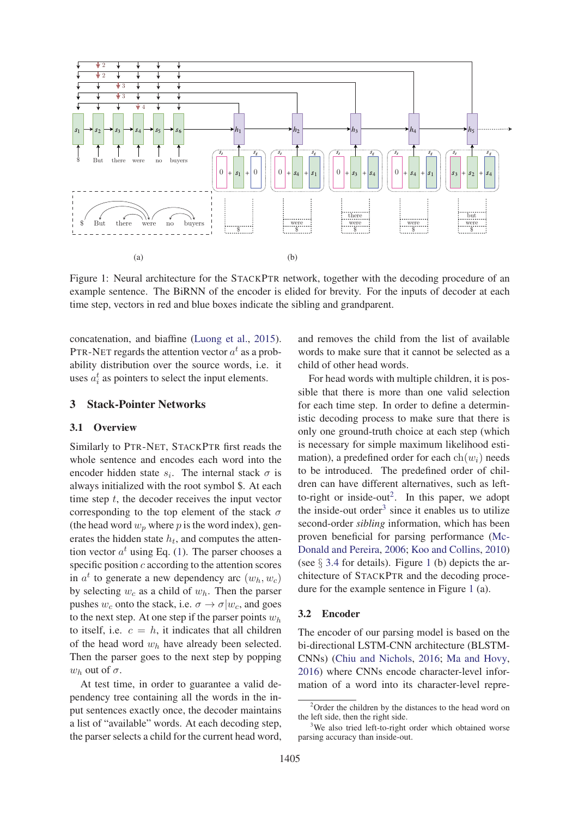

Figure 1: Neural architecture for the STACKPTR network, together with the decoding procedure of an example sentence. The BiRNN of the encoder is elided for brevity. For the inputs of decoder at each time step, vectors in red and blue boxes indicate the sibling and grandparent.

concatenation, and biaffine (Luong et al., 2015). PTR-NET regards the attention vector  $a^t$  as a probability distribution over the source words, i.e. it uses  $a_i^t$  as pointers to select the input elements.

## 3 Stack-Pointer Networks

#### 3.1 Overview

Similarly to PTR-NET, STACKPTR first reads the whole sentence and encodes each word into the encoder hidden state  $s_i$ . The internal stack  $\sigma$  is always initialized with the root symbol \$. At each time step  $t$ , the decoder receives the input vector corresponding to the top element of the stack  $\sigma$ (the head word  $w_p$  where p is the word index), generates the hidden state  $h_t$ , and computes the attention vector  $a^t$  using Eq. (1). The parser chooses a specific position  $c$  according to the attention scores in  $a^t$  to generate a new dependency arc  $(w_h, w_c)$ by selecting <sup>w</sup>*c* as a child of <sup>w</sup>*h*. Then the parser pushes  $w_c$  onto the stack, i.e.  $\sigma \rightarrow \sigma | w_c$ , and goes to the next step. At one step if the parser points <sup>w</sup>*h* to itself, i.e.  $c = h$ , it indicates that all children of the head word <sup>w</sup>*h* have already been selected. Then the parser goes to the next step by popping  $w_h$  out of  $\sigma$ .

At test time, in order to guarantee a valid dependency tree containing all the words in the input sentences exactly once, the decoder maintains a list of "available" words. At each decoding step, the parser selects a child for the current head word,

and removes the child from the list of available words to make sure that it cannot be selected as a child of other head words.

For head words with multiple children, it is possible that there is more than one valid selection for each time step. In order to define a deterministic decoding process to make sure that there is only one ground-truth choice at each step (which is necessary for simple maximum likelihood estimation), a predefined order for each  $\text{ch}(w_i)$  needs to be introduced. The predefined order of children can have different alternatives, such as leftto-right or inside-out<sup>2</sup>. In this paper, we adopt the inside-out order<sup>3</sup> since it enables us to utilize second-order *sibling* information, which has been proven beneficial for parsing performance (Mc-Donald and Pereira, 2006; Koo and Collins, 2010) (see  $\S$  3.4 for details). Figure 1 (b) depicts the architecture of STACKPTR and the decoding procedure for the example sentence in Figure 1 (a).

#### 3.2 Encoder

The encoder of our parsing model is based on the bi-directional LSTM-CNN architecture (BLSTM-CNNs) (Chiu and Nichols, 2016; Ma and Hovy, 2016) where CNNs encode character-level information of a word into its character-level repre-

 $2$ Order the children by the distances to the head word on the left side, then the right side.

<sup>3</sup> We also tried left-to-right order which obtained worse parsing accuracy than inside-out.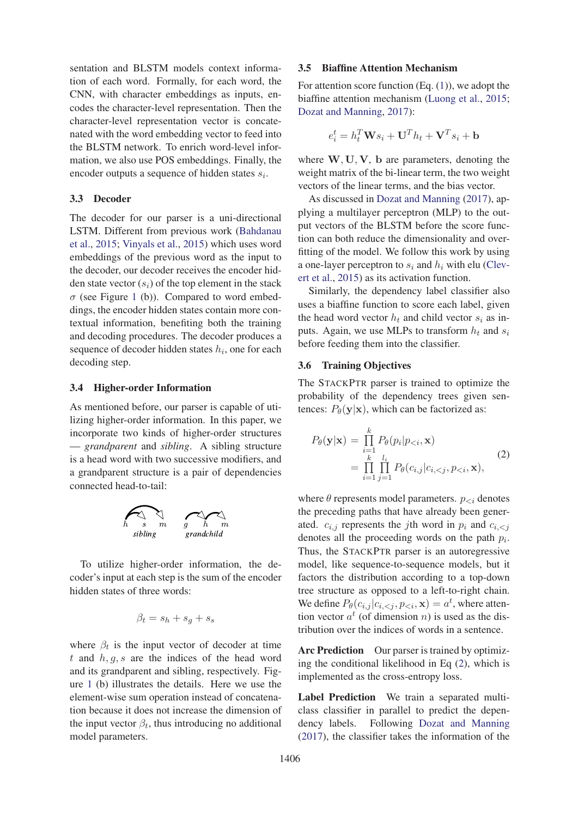sentation and BLSTM models context information of each word. Formally, for each word, the CNN, with character embeddings as inputs, encodes the character-level representation. Then the character-level representation vector is concatenated with the word embedding vector to feed into the BLSTM network. To enrich word-level information, we also use POS embeddings. Finally, the encoder outputs a sequence of hidden states <sup>s</sup>*i*.

#### 3.3 Decoder

The decoder for our parser is a uni-directional LSTM. Different from previous work (Bahdanau et al., 2015; Vinyals et al., 2015) which uses word embeddings of the previous word as the input to the decoder, our decoder receives the encoder hidden state vector  $(s_i)$  of the top element in the stack  $\sigma$  (see Figure 1 (b)). Compared to word embeddings, the encoder hidden states contain more contextual information, benefiting both the training and decoding procedures. The decoder produces a sequence of decoder hidden states <sup>h</sup>*i*, one for each decoding step.

#### 3.4 Higher-order Information

As mentioned before, our parser is capable of utilizing higher-order information. In this paper, we incorporate two kinds of higher-order structures — *grandparent* and *sibling*. A sibling structure is a head word with two successive modifiers, and a grandparent structure is a pair of dependencies connected head-to-tail:



To utilize higher-order information, the decoder's input at each step is the sum of the encoder hidden states of three words:

$$
\beta_t = s_h + s_g + s_s
$$

where  $\beta_t$  is the input vector of decoder at time t and  $h, q, s$  are the indices of the head word and its grandparent and sibling, respectively. Figure 1 (b) illustrates the details. Here we use the element-wise sum operation instead of concatenation because it does not increase the dimension of the input vector  $\beta_t$ , thus introducing no additional model parameters.

#### 3.5 Biaffine Attention Mechanism

For attention score function  $(Eq. (1))$ , we adopt the biaffine attention mechanism (Luong et al., 2015; Dozat and Manning, 2017):

$$
e_i^t = h_t^T \mathbf{W} s_i + \mathbf{U}^T h_t + \mathbf{V}^T s_i + \mathbf{b}
$$

where **<sup>W</sup>**, **<sup>U</sup>**, **<sup>V</sup>**, **<sup>b</sup>** are parameters, denoting the weight matrix of the bi-linear term, the two weight vectors of the linear terms, and the bias vector.

As discussed in Dozat and Manning (2017), applying a multilayer perceptron (MLP) to the output vectors of the BLSTM before the score function can both reduce the dimensionality and overfitting of the model. We follow this work by using a one-layer perceptron to  $s_i$  and  $h_i$  with elu (Clevert et al., 2015) as its activation function.

Similarly, the dependency label classifier also uses a biaffine function to score each label, given the head word vector  $h_t$  and child vector  $s_i$  as inputs. Again, we use MLPs to transform  $h_t$  and  $s_i$ before feeding them into the classifier.

## 3.6 Training Objectives

The STACKPTR parser is trained to optimize the probability of the dependency trees given sentences:  $P_{\theta}(\mathbf{y}|\mathbf{x})$ , which can be factorized as:

$$
P_{\theta}(\mathbf{y}|\mathbf{x}) = \prod_{i=1}^{k} P_{\theta}(p_i|p_{< i}, \mathbf{x})
$$
  
= 
$$
\prod_{i=1}^{k} \prod_{j=1}^{l_i} P_{\theta}(c_{i,j}|c_{i,< j}, p_{< i}, \mathbf{x}),
$$
 (2)

where  $\theta$  represents model parameters.  $p_{\leq i}$  denotes the preceding paths that have already been generated.  $c_{i,j}$  represents the *j*th word in  $p_i$  and  $c_{i,j}$ denotes all the proceeding words on the path <sup>p</sup>*i*. Thus, the STACKPTR parser is an autoregressive model, like sequence-to-sequence models, but it factors the distribution according to a top-down tree structure as opposed to a left-to-right chain. We define  $P_{\theta}(c_{i,j}|c_{i,\leq j}, p_{\leq i}, \mathbf{x}) = a^t$ , where attention vector  $a^t$  (of dimension n) is used as the distion vector  $a^t$  (of dimension *n*) is used as the distribution over the indices of words in a sentence.

Arc Prediction Our parser is trained by optimizing the conditional likelihood in Eq (2), which is implemented as the cross-entropy loss.

Label Prediction We train a separated multiclass classifier in parallel to predict the dependency labels. Following Dozat and Manning (2017), the classifier takes the information of the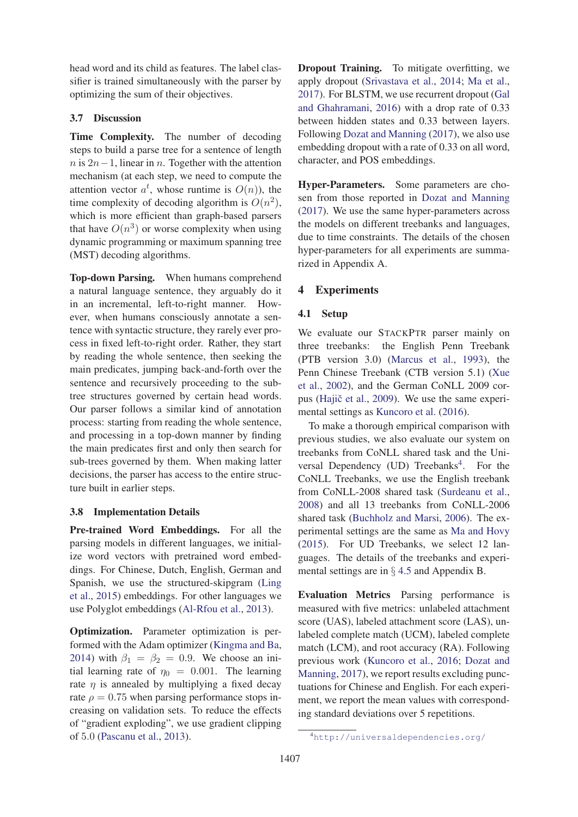head word and its child as features. The label classifier is trained simultaneously with the parser by optimizing the sum of their objectives.

## 3.7 Discussion

Time Complexity. The number of decoding steps to build a parse tree for a sentence of length  $n$  is 2n−1, linear in n. Together with the attention mechanism (at each step, we need to compute the attention vector  $a^t$ , whose runtime is  $O(n)$ ), the<br>time complexity of decoding algorithm is  $O(n^2)$ time complexity of decoding algorithm is  $O(n^2)$ , which is more efficient than graph-based parsers that have  $O(n^3)$  or worse complexity when using dynamic programming or maximum spanning tree (MST) decoding algorithms.

Top-down Parsing. When humans comprehend a natural language sentence, they arguably do it in an incremental, left-to-right manner. However, when humans consciously annotate a sentence with syntactic structure, they rarely ever process in fixed left-to-right order. Rather, they start by reading the whole sentence, then seeking the main predicates, jumping back-and-forth over the sentence and recursively proceeding to the subtree structures governed by certain head words. Our parser follows a similar kind of annotation process: starting from reading the whole sentence, and processing in a top-down manner by finding the main predicates first and only then search for sub-trees governed by them. When making latter decisions, the parser has access to the entire structure built in earlier steps.

## 3.8 Implementation Details

Pre-trained Word Embeddings. For all the parsing models in different languages, we initialize word vectors with pretrained word embeddings. For Chinese, Dutch, English, German and Spanish, we use the structured-skipgram (Ling et al., 2015) embeddings. For other languages we use Polyglot embeddings (Al-Rfou et al., 2013).

Optimization. Parameter optimization is performed with the Adam optimizer (Kingma and Ba, 2014) with  $\beta_1 = \beta_2 = 0.9$ . We choose an initial learning rate of  $\eta_0 = 0.001$ . The learning rate  $\eta$  is annealed by multiplying a fixed decay rate  $\rho = 0.75$  when parsing performance stops increasing on validation sets. To reduce the effects of "gradient exploding", we use gradient clipping of <sup>5</sup>.<sup>0</sup> (Pascanu et al., 2013).

Dropout Training. To mitigate overfitting, we apply dropout (Srivastava et al., 2014; Ma et al., 2017). For BLSTM, we use recurrent dropout (Gal and Ghahramani, 2016) with a drop rate of 0.33 between hidden states and 0.33 between layers. Following Dozat and Manning (2017), we also use embedding dropout with a rate of 0.33 on all word, character, and POS embeddings.

Hyper-Parameters. Some parameters are chosen from those reported in Dozat and Manning (2017). We use the same hyper-parameters across the models on different treebanks and languages, due to time constraints. The details of the chosen hyper-parameters for all experiments are summarized in Appendix A.

## 4 Experiments

#### 4.1 Setup

We evaluate our STACKPTR parser mainly on three treebanks: the English Penn Treebank (PTB version 3.0) (Marcus et al., 1993), the Penn Chinese Treebank (CTB version 5.1) (Xue et al., 2002), and the German CoNLL 2009 corpus (Hajič et al., 2009). We use the same experimental settings as Kuncoro et al. (2016).

To make a thorough empirical comparison with previous studies, we also evaluate our system on treebanks from CoNLL shared task and the Universal Dependency (UD) Treebanks<sup>4</sup>. For the CoNLL Treebanks, we use the English treebank from CoNLL-2008 shared task (Surdeanu et al., 2008) and all 13 treebanks from CoNLL-2006 shared task (Buchholz and Marsi, 2006). The experimental settings are the same as Ma and Hovy (2015). For UD Treebanks, we select 12 languages. The details of the treebanks and experimental settings are in § 4.5 and Appendix B.

Evaluation Metrics Parsing performance is measured with five metrics: unlabeled attachment score (UAS), labeled attachment score (LAS), unlabeled complete match (UCM), labeled complete match (LCM), and root accuracy (RA). Following previous work (Kuncoro et al., 2016; Dozat and Manning, 2017), we report results excluding punctuations for Chinese and English. For each experiment, we report the mean values with corresponding standard deviations over 5 repetitions.

<sup>4</sup> http://universaldependencies.org/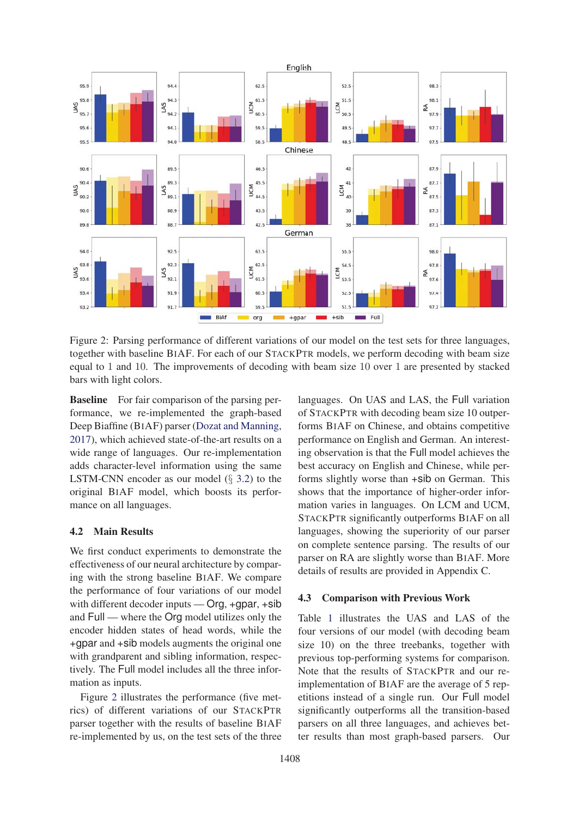

Figure 2: Parsing performance of different variations of our model on the test sets for three languages, together with baseline BIAF. For each of our STACKPTR models, we perform decoding with beam size equal to 1 and 10. The improvements of decoding with beam size 10 over 1 are presented by stacked bars with light colors.

Baseline For fair comparison of the parsing performance, we re-implemented the graph-based Deep Biaffine (BIAF) parser (Dozat and Manning, 2017), which achieved state-of-the-art results on a wide range of languages. Our re-implementation adds character-level information using the same LSTM-CNN encoder as our model (§ 3.2) to the original BIAF model, which boosts its performance on all languages.

#### 4.2 Main Results

We first conduct experiments to demonstrate the effectiveness of our neural architecture by comparing with the strong baseline BIAF. We compare the performance of four variations of our model with different decoder inputs — Org, +gpar, +sib and Full — where the Org model utilizes only the encoder hidden states of head words, while the +gpar and +sib models augments the original one with grandparent and sibling information, respectively. The Full model includes all the three information as inputs.

Figure 2 illustrates the performance (five metrics) of different variations of our STACKPTR parser together with the results of baseline BIAF re-implemented by us, on the test sets of the three

languages. On UAS and LAS, the Full variation of STACKPTR with decoding beam size 10 outperforms BIAF on Chinese, and obtains competitive performance on English and German. An interesting observation is that the Full model achieves the best accuracy on English and Chinese, while performs slightly worse than +sib on German. This shows that the importance of higher-order information varies in languages. On LCM and UCM, STACKPTR significantly outperforms BIAF on all languages, showing the superiority of our parser on complete sentence parsing. The results of our parser on RA are slightly worse than BIAF. More details of results are provided in Appendix C.

#### 4.3 Comparison with Previous Work

Table 1 illustrates the UAS and LAS of the four versions of our model (with decoding beam size 10) on the three treebanks, together with previous top-performing systems for comparison. Note that the results of STACKPTR and our reimplementation of BIAF are the average of 5 repetitions instead of a single run. Our Full model significantly outperforms all the transition-based parsers on all three languages, and achieves better results than most graph-based parsers. Our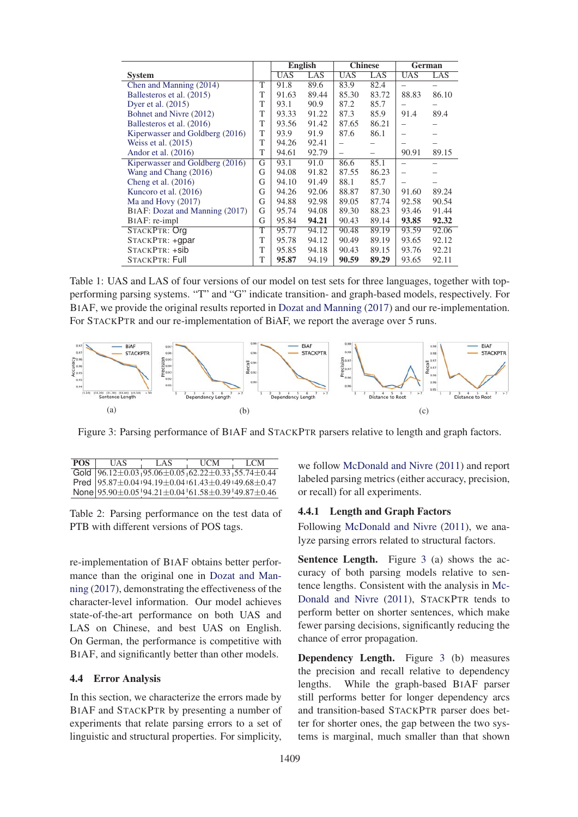|                                 |   | <b>English</b> |       | <b>Chinese</b> |       | German     |       |
|---------------------------------|---|----------------|-------|----------------|-------|------------|-------|
| <b>System</b>                   |   | <b>UAS</b>     | LAS   | <b>UAS</b>     | LAS   | <b>UAS</b> | LAS   |
| Chen and Manning (2014)         | T | 91.8           | 89.6  | 83.9           | 82.4  |            |       |
| Ballesteros et al. (2015)       | T | 91.63          | 89.44 | 85.30          | 83.72 | 88.83      | 86.10 |
| Dyer et al. $(2015)$            | T | 93.1           | 90.9  | 87.2           | 85.7  |            |       |
| Bohnet and Nivre (2012)         | T | 93.33          | 91.22 | 87.3           | 85.9  | 91.4       | 89.4  |
| Ballesteros et al. (2016)       | T | 93.56          | 91.42 | 87.65          | 86.21 |            |       |
| Kiperwasser and Goldberg (2016) | T | 93.9           | 91.9  | 87.6           | 86.1  |            |       |
| Weiss et al. $(2015)$           |   | 94.26          | 92.41 |                |       |            |       |
| Andor et al. $(2016)$           | T | 94.61          | 92.79 |                |       | 90.91      | 89.15 |
| Kiperwasser and Goldberg (2016) | G | 93.1           | 91.0  | 86.6           | 85.1  |            |       |
| Wang and Chang (2016)           | G | 94.08          | 91.82 | 87.55          | 86.23 |            |       |
| Cheng et al. $(2016)$           | G | 94.10          | 91.49 | 88.1           | 85.7  |            |       |
| Kuncoro et al. (2016)           |   | 94.26          | 92.06 | 88.87          | 87.30 | 91.60      | 89.24 |
| Ma and Hovy $(2017)$            |   | 94.88          | 92.98 | 89.05          | 87.74 | 92.58      | 90.54 |
| BIAF: Dozat and Manning (2017)  |   | 95.74          | 94.08 | 89.30          | 88.23 | 93.46      | 91.44 |
| BIAF: re-impl                   |   | 95.84          | 94.21 | 90.43          | 89.14 | 93.85      | 92.32 |
| STACKPTR: Org                   | T | 95.77          | 94.12 | 90.48          | 89.19 | 93.59      | 92.06 |
| STACKPTR: +qpar                 | T | 95.78          | 94.12 | 90.49          | 89.19 | 93.65      | 92.12 |
| STACKPTR: +sib                  | T | 95.85          | 94.18 | 90.43          | 89.15 | 93.76      | 92.21 |
| <b>STACKPTR: Full</b>           |   | 95.87          | 94.19 | 90.59          | 89.29 | 93.65      | 92.11 |

Table 1: UAS and LAS of four versions of our model on test sets for three languages, together with topperforming parsing systems. "T" and "G" indicate transition- and graph-based models, respectively. For BIAF, we provide the original results reported in Dozat and Manning (2017) and our re-implementation. For STACKPTR and our re-implementation of BiAF, we report the average over 5 runs.



Figure 3: Parsing performance of BIAF and STACKPTR parsers relative to length and graph factors.

| POS. | HAS                                                                                                                          | LAS | <b>TICM</b> | LCM |
|------|------------------------------------------------------------------------------------------------------------------------------|-----|-------------|-----|
|      | Gold $\left[96.12 \pm 0.03\right.$ $\left[95.06 \pm 0.05\right]$ $\left[62.22 \pm 0.33\right]$ $\left[55.74 \pm 0.44\right]$ |     |             |     |
|      | Pred  95.87±0.04+94.19±0.04+61.43±0.49+49.68±0.47                                                                            |     |             |     |
|      | None $95.90 \pm 0.05$ $94.21 \pm 0.04$ $61.58 \pm 0.39$ $49.87 \pm 0.46$                                                     |     |             |     |

Table 2: Parsing performance on the test data of PTB with different versions of POS tags.

re-implementation of BIAF obtains better performance than the original one in Dozat and Manning (2017), demonstrating the effectiveness of the character-level information. Our model achieves state-of-the-art performance on both UAS and LAS on Chinese, and best UAS on English. On German, the performance is competitive with BIAF, and significantly better than other models.

# 4.4 Error Analysis

In this section, we characterize the errors made by BIAF and STACKPTR by presenting a number of experiments that relate parsing errors to a set of linguistic and structural properties. For simplicity,

we follow McDonald and Nivre (2011) and report labeled parsing metrics (either accuracy, precision, or recall) for all experiments.

## 4.4.1 Length and Graph Factors

Following McDonald and Nivre (2011), we analyze parsing errors related to structural factors.

Sentence Length. Figure 3 (a) shows the accuracy of both parsing models relative to sentence lengths. Consistent with the analysis in Mc-Donald and Nivre (2011), STACKPTR tends to perform better on shorter sentences, which make fewer parsing decisions, significantly reducing the chance of error propagation.

Dependency Length. Figure 3 (b) measures the precision and recall relative to dependency lengths. While the graph-based BIAF parser still performs better for longer dependency arcs and transition-based STACKPTR parser does better for shorter ones, the gap between the two systems is marginal, much smaller than that shown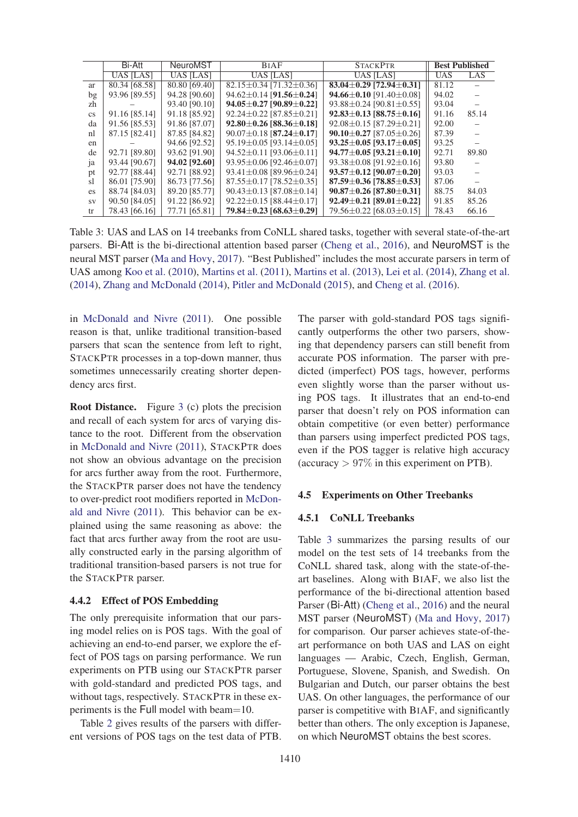|                        | Bi-Att           | NeuroMST         | <b>BIAF</b>                         | <b>STACKPTR</b>                      | <b>Best Published</b> |       |
|------------------------|------------------|------------------|-------------------------------------|--------------------------------------|-----------------------|-------|
|                        | <b>UAS [LAS]</b> | <b>UAS [LAS]</b> | UAS [LAS]                           | <b>UAS [LAS]</b>                     | <b>UAS</b>            | LAS   |
| ar                     | 80.34 [68.58]    | 80.80 [69.40]    | $82.15 \pm 0.34$ [71.32 $\pm$ 0.36] | 83.04 $\pm$ 0.29 [72.94 $\pm$ 0.31]  | 81.12                 |       |
| bg                     | 93.96 [89.55]    | 94.28 [90.60]    | $94.62 \pm 0.14$ [91.56 $\pm$ 0.24] | 94.66 $\pm$ 0.10 [91.40 $\pm$ 0.08]  | 94.02                 |       |
| zh                     |                  | 93.40 [90.10]    | $94.05 \pm 0.27$ [90.89 $\pm$ 0.22] | $93.88 \pm 0.24$ [90.81 $\pm$ 0.55]  | 93.04                 |       |
| $\mathbf{c}\mathbf{s}$ | 91.16 [85.14]    | 91.18 [85.92]    | $92.24 \pm 0.22$ [87.85 $\pm$ 0.21] | $92.83 \pm 0.13$ [88.75 $\pm$ 0.16]  | 91.16                 | 85.14 |
| da                     | 91.56 [85.53]    | 91.86 [87.07]    | $92.80 \pm 0.26$ [88.36 $\pm$ 0.18] | $92.08 \pm 0.15$ [87.29 $\pm$ 0.21]  | 92.00                 |       |
| nl                     | 87.15 [82.41]    | 87.85 [84.82]    | $90.07 \pm 0.18$ [87.24 $\pm$ 0.17] | $90.10 \pm 0.27$ [87.05 $\pm$ 0.26]  | 87.39                 |       |
| en                     |                  | 94.66 [92.52]    | $95.19 \pm 0.05$ [93.14 $\pm$ 0.05] | $93.25 \pm 0.05$ [93.17 $\pm$ 0.05]  | 93.25                 |       |
| de                     | 92.71 [89.80]    | 93.62 [91.90]    | $94.52 \pm 0.11$ [93.06 $\pm$ 0.11] | $94.77 \pm 0.05$ [93.21 $\pm$ 0.10]  | 92.71                 | 89.80 |
| ja                     | 93.44 [90.67]    | 94.02 [92.60]    | $93.95 \pm 0.06$ [92.46 $\pm$ 0.07] | $93.38 \pm 0.08$ [91.92 $\pm$ 0.16]  | 93.80                 |       |
| pt                     | 92.77 [88.44]    | 92.71 [88.92]    | $93.41 \pm 0.08$ [89.96 $\pm$ 0.24] | $93.57 \pm 0.12$ [90.07 $\pm$ 0.20]  | 93.03                 |       |
| sl                     | 86.01 [75.90]    | 86.73 [77.56]    | $87.55 \pm 0.17$ [78.52 $\pm$ 0.35] | $87.59 \pm 0.36$ [78.85 $\pm 0.53$ ] | 87.06                 |       |
| es.                    | 88.74 [84.03]    | 89.20 [85.77]    | $90.43 \pm 0.13$ [87.08 $\pm$ 0.14] | $90.87 \pm 0.26$ [87.80 $\pm$ 0.31]  | 88.75                 | 84.03 |
| <b>SV</b>              | 90.50 [84.05]    | 91.22 [86.92]    | $92.22 \pm 0.15$ [88.44 $\pm$ 0.17] | $92.49 \pm 0.21$ [89.01 $\pm$ 0.22]  | 91.85                 | 85.26 |
| tr                     | 78.43 [66.16]    | 77.71 [65.81]    | 79.84 $\pm$ 0.23 [68.63 $\pm$ 0.29] | $79.56 \pm 0.22$ [68.03 $\pm$ 0.15]  | 78.43                 | 66.16 |

Table 3: UAS and LAS on 14 treebanks from CoNLL shared tasks, together with several state-of-the-art parsers. Bi-Att is the bi-directional attention based parser (Cheng et al., 2016), and NeuroMST is the neural MST parser (Ma and Hovy, 2017). "Best Published" includes the most accurate parsers in term of UAS among Koo et al. (2010), Martins et al. (2011), Martins et al. (2013), Lei et al. (2014), Zhang et al.  $(2014)$ , Zhang and McDonald  $(2014)$ , Pitler and McDonald  $(2015)$ , and Cheng et al.  $(2016)$ .

in McDonald and Nivre (2011). One possible reason is that, unlike traditional transition-based parsers that scan the sentence from left to right, STACKPTR processes in a top-down manner, thus sometimes unnecessarily creating shorter dependency arcs first.

**Root Distance.** Figure 3 (c) plots the precision and recall of each system for arcs of varying distance to the root. Different from the observation in McDonald and Nivre (2011), STACKPTR does not show an obvious advantage on the precision for arcs further away from the root. Furthermore, the STACKPTR parser does not have the tendency to over-predict root modifiers reported in McDonald and Nivre (2011). This behavior can be explained using the same reasoning as above: the fact that arcs further away from the root are usually constructed early in the parsing algorithm of traditional transition-based parsers is not true for the STACKPTR parser.

## 4.4.2 Effect of POS Embedding

The only prerequisite information that our parsing model relies on is POS tags. With the goal of achieving an end-to-end parser, we explore the effect of POS tags on parsing performance. We run experiments on PTB using our STACKPTR parser with gold-standard and predicted POS tags, and without tags, respectively. STACKPTR in these experiments is the Full model with beam=10.

Table 2 gives results of the parsers with different versions of POS tags on the test data of PTB.

The parser with gold-standard POS tags significantly outperforms the other two parsers, showing that dependency parsers can still benefit from accurate POS information. The parser with predicted (imperfect) POS tags, however, performs even slightly worse than the parser without using POS tags. It illustrates that an end-to-end parser that doesn't rely on POS information can obtain competitive (or even better) performance than parsers using imperfect predicted POS tags, even if the POS tagger is relative high accuracy (accuracy  $> 97\%$  in this experiment on PTB).

#### **4.5 Experiments on Other Treebanks**

#### 4.5.1 CoNLL Treebanks

Table 3 summarizes the parsing results of our model on the test sets of 14 treebanks from the CoNLL shared task, along with the state-of-theart baselines. Along with BIAF, we also list the performance of the bi-directional attention based Parser (Bi-Att) (Cheng et al., 2016) and the neural MST parser (NeuroMST) (Ma and Hovy, 2017) for comparison. Our parser achieves state-of-theart performance on both UAS and LAS on eight languages — Arabic, Czech, English, German, Portuguese, Slovene, Spanish, and Swedish. On Bulgarian and Dutch, our parser obtains the best UAS. On other languages, the performance of our parser is competitive with BIAF, and significantly better than others. The only exception is Japanese, on which NeuroMST obtains the best scores.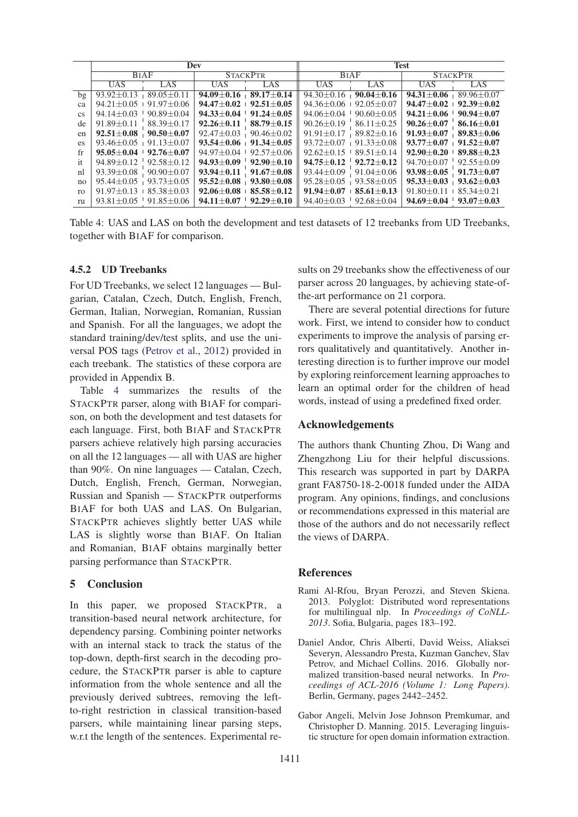|                 |                                   | Dev                                 |                                         |                | <b>Test</b>                       |                               |                                         |                  |  |
|-----------------|-----------------------------------|-------------------------------------|-----------------------------------------|----------------|-----------------------------------|-------------------------------|-----------------------------------------|------------------|--|
|                 | <b>BIAF</b>                       |                                     | <b>STACKPTR</b>                         |                | <b>BIAF</b>                       |                               | <b>STACKPTR</b>                         |                  |  |
|                 | <b>UAS</b>                        | LAS                                 | <b>UAS</b>                              | LAS            | <b>UAS</b>                        | LAS                           | <b>UAS</b>                              | LAS              |  |
| $b\mathfrak{g}$ | $93.92 \pm 0.13 + 89.05 \pm 0.11$ |                                     | $94.09 \pm 0.16 + 89.17 \pm 0.14$       |                | $94.30 \pm 0.16 + 90.04 \pm 0.16$ |                               | $94.31 \pm 0.06$                        | $89.96 \pm 0.07$ |  |
| ca              |                                   | $94.21 \pm 0.05$ $+ 91.97 \pm 0.06$ | $94.47 + 0.02 + 92.51 + 0.05$           |                | $94.36 + 0.06$                    | $92.05 + 0.07$                | $94.47 + 0.02$                          | $-92.39 + 0.02$  |  |
| <b>CS</b>       | $94.14 + 0.03 + 90.89 + 0.04$     |                                     | $94.33 \pm 0.04$ $\pm$ 91.24 $\pm$ 0.05 |                | $94.06 \pm 0.04$ $90.60 \pm 0.05$ |                               | $94.21 \pm 0.06$ $\pm$ 90.94 $\pm$ 0.07 |                  |  |
| de              | $91.89 + 0.11$                    | $88.39 + 0.17$                      | $92.26 + 0.11$                          | $88.79 + 0.15$ | $90.26 + 0.19$                    | $86.11 + 0.25$                | $90.26 + 0.07$                          | $86.16 + 0.01$   |  |
| en              | $92.51 \pm 0.08$ $90.50 \pm 0.07$ |                                     | $92.47 \pm 0.03$ 90.46 $\pm 0.02$       |                | $91.91 + 0.17$                    | $89.82 + 0.16$                | $91.93 + 0.07$                          | $89.83 \pm 0.06$ |  |
| es              | $93.46 + 0.05 + 91.13 + 0.07$     |                                     | $93.54 + 0.06 + 91.34 + 0.05$           |                | $93.72 + 0.07$                    | $91.33 + 0.08$                | $93.77+0.07$                            | $91.52 + 0.07$   |  |
| fr              | $95.05 \pm 0.04$ $92.76 \pm 0.07$ |                                     | $94.97 + 0.04 + 92.57 + 0.06$           |                | $92.62 + 0.15$                    | $89.51 + 0.14$                | $92.90 \pm 0.20$   $89.88 \pm 0.23$     |                  |  |
| it              | $94.89 + 0.12$ $92.58 + 0.12$     |                                     | $94.93 + 0.09 + 92.90 + 0.10$           |                | $94.75 + 0.12 + 92.72 + 0.12$     |                               | $94.70 + 0.07$                          | $92.55 + 0.09$   |  |
| nl              | $93.39 \pm 0.08$                  | $90.90 \pm 0.07$                    | $93.94 + 0.11$                          | $91.67 + 0.08$ | $93.44 + 0.09$                    | $91.04 + 0.06$                | $93.98 + 0.05$                          | $91.73 + 0.07$   |  |
| no              | $95.44 + 0.05$ $93.73 + 0.05$     |                                     | $95.52 \pm 0.08 + 93.80 \pm 0.08$       |                | $95.28 + 0.05$                    | $93.58 + 0.05$                | $95.33 \pm 0.03$ $93.62 \pm 0.03$       |                  |  |
| r <sub>0</sub>  | $91.97 + 0.13 + 85.38 + 0.03$     |                                     | $92.06 + 0.08 + 85.58 + 0.12$           |                | $91.94 + 0.07$                    | $85.61 + 0.13$                | $91.80 + 0.11$                          | $85.34 + 0.21$   |  |
| ru              |                                   | $93.81 + 0.05$ 91.85 + 0.06         | $94.11 + 0.07 + 92.29 + 0.10$           |                |                                   | $94.40 + 0.03 + 92.68 + 0.04$ | $94.69 + 0.04$ $93.07 + 0.03$           |                  |  |

Table 4: UAS and LAS on both the development and test datasets of 12 treebanks from UD Treebanks, together with BIAF for comparison.

## 4.5.2 **ID** Treebanks

For UD Treebanks, we select 12 languages — Bulgarian, Catalan, Czech, Dutch, English, French, German, Italian, Norwegian, Romanian, Russian and Spanish. For all the languages, we adopt the standard training/dev/test splits, and use the universal POS tags (Petrov et al., 2012) provided in each treebank. The statistics of these corpora are provided in Appendix B.

Table 4 summarizes the results of the STACKPTR parser, along with BIAF for comparison, on both the development and test datasets for each language. First, both BIAF and STACKPTR parsers achieve relatively high parsing accuracies on all the 12 languages — all with UAS are higher than 90%. On nine languages — Catalan, Czech, Dutch, English, French, German, Norwegian, Russian and Spanish - STACKPTR outperforms BIAF for both UAS and LAS. On Bulgarian, STACKPTR achieves slightly better UAS while LAS is slightly worse than BIAF. On Italian and Romanian, BIAF obtains marginally better parsing performance than STACKPTR.

#### 5 **Conclusion**

In this paper, we proposed STACKPTR, a transition-based neural network architecture, for dependency parsing. Combining pointer networks with an internal stack to track the status of the top-down, depth-first search in the decoding procedure, the STACKPTR parser is able to capture information from the whole sentence and all the previously derived subtrees, removing the leftto-right restriction in classical transition-based parsers, while maintaining linear parsing steps, w.r.t the length of the sentences. Experimental re-

sults on 29 treebanks show the effectiveness of our parser across 20 languages, by achieving state-ofthe-art performance on 21 corpora.

There are several potential directions for future work. First, we intend to consider how to conduct experiments to improve the analysis of parsing errors qualitatively and quantitatively. Another interesting direction is to further improve our model by exploring reinforcement learning approaches to learn an optimal order for the children of head words, instead of using a predefined fixed order.

## **Acknowledgements**

The authors thank Chunting Zhou, Di Wang and Zhengzhong Liu for their helpful discussions. This research was supported in part by DARPA grant FA8750-18-2-0018 funded under the AIDA program. Any opinions, findings, and conclusions or recommendations expressed in this material are those of the authors and do not necessarily reflect the views of DARPA.

#### **References**

- Rami Al-Rfou, Bryan Perozzi, and Steven Skiena. 2013. Polyglot: Distributed word representations for multilingual nlp. In Proceedings of CoNLL-2013. Sofia, Bulgaria, pages 183-192.
- Daniel Andor, Chris Alberti, David Weiss, Aliaksei Severyn, Alessandro Presta, Kuzman Ganchev, Slav Petrov, and Michael Collins. 2016. Globally normalized transition-based neural networks. In Proceedings of ACL-2016 (Volume 1: Long Papers). Berlin, Germany, pages 2442-2452.
- Gabor Angeli, Melvin Jose Johnson Premkumar, and Christopher D. Manning. 2015. Leveraging linguistic structure for open domain information extraction.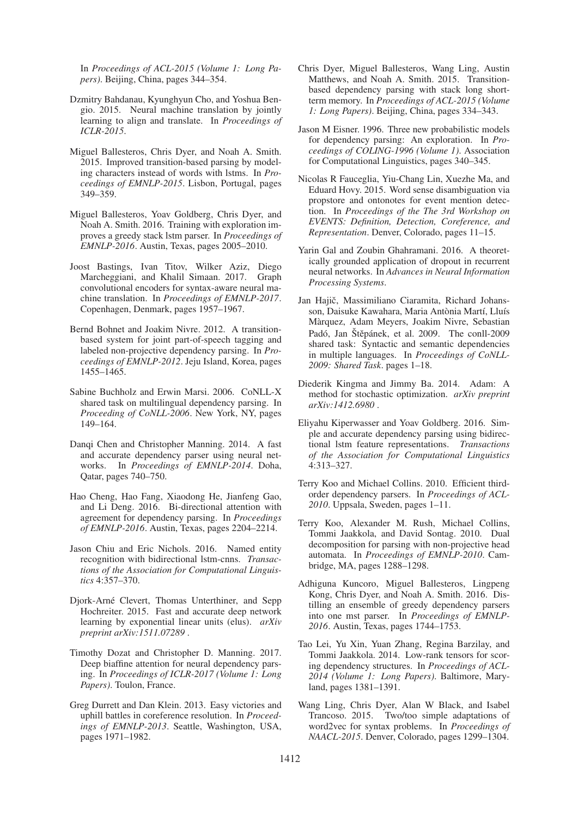In *Proceedings of ACL-2015 (Volume 1: Long Papers)*. Beijing, China, pages 344–354.

- Dzmitry Bahdanau, Kyunghyun Cho, and Yoshua Bengio. 2015. Neural machine translation by jointly learning to align and translate. In *Proceedings of ICLR-2015*.
- Miguel Ballesteros, Chris Dyer, and Noah A. Smith. 2015. Improved transition-based parsing by modeling characters instead of words with lstms. In *Proceedings of EMNLP-2015*. Lisbon, Portugal, pages 349–359.
- Miguel Ballesteros, Yoav Goldberg, Chris Dyer, and Noah A. Smith. 2016. Training with exploration improves a greedy stack lstm parser. In *Proceedings of EMNLP-2016*. Austin, Texas, pages 2005–2010.
- Joost Bastings, Ivan Titov, Wilker Aziz, Diego Marcheggiani, and Khalil Simaan. 2017. Graph convolutional encoders for syntax-aware neural machine translation. In *Proceedings of EMNLP-2017*. Copenhagen, Denmark, pages 1957–1967.
- Bernd Bohnet and Joakim Nivre. 2012. A transitionbased system for joint part-of-speech tagging and labeled non-projective dependency parsing. In *Proceedings of EMNLP-2012*. Jeju Island, Korea, pages 1455–1465.
- Sabine Buchholz and Erwin Marsi. 2006. CoNLL-X shared task on multilingual dependency parsing. In *Proceeding of CoNLL-2006*. New York, NY, pages 149–164.
- Danqi Chen and Christopher Manning. 2014. A fast and accurate dependency parser using neural networks. In *Proceedings of EMNLP-2014*. Doha, Qatar, pages 740–750.
- Hao Cheng, Hao Fang, Xiaodong He, Jianfeng Gao, and Li Deng. 2016. Bi-directional attention with agreement for dependency parsing. In *Proceedings of EMNLP-2016*. Austin, Texas, pages 2204–2214.
- Jason Chiu and Eric Nichols. 2016. Named entity recognition with bidirectional lstm-cnns. *Transactions of the Association for Computational Linguistics* 4:357–370.
- Djork-Arné Clevert, Thomas Unterthiner, and Sepp Hochreiter. 2015. Fast and accurate deep network learning by exponential linear units (elus). *arXiv preprint arXiv:1511.07289* .
- Timothy Dozat and Christopher D. Manning. 2017. Deep biaffine attention for neural dependency parsing. In *Proceedings of ICLR-2017 (Volume 1: Long Papers)*. Toulon, France.
- Greg Durrett and Dan Klein. 2013. Easy victories and uphill battles in coreference resolution. In *Proceedings of EMNLP-2013*. Seattle, Washington, USA, pages 1971–1982.
- Chris Dyer, Miguel Ballesteros, Wang Ling, Austin Matthews, and Noah A. Smith. 2015. Transitionbased dependency parsing with stack long shortterm memory. In *Proceedings of ACL-2015 (Volume 1: Long Papers)*. Beijing, China, pages 334–343.
- Jason M Eisner. 1996. Three new probabilistic models for dependency parsing: An exploration. In *Proceedings of COLING-1996 (Volume 1)*. Association for Computational Linguistics, pages 340–345.
- Nicolas R Fauceglia, Yiu-Chang Lin, Xuezhe Ma, and Eduard Hovy. 2015. Word sense disambiguation via propstore and ontonotes for event mention detection. In *Proceedings of the The 3rd Workshop on EVENTS: Definition, Detection, Coreference, and Representation*. Denver, Colorado, pages 11–15.
- Yarin Gal and Zoubin Ghahramani. 2016. A theoretically grounded application of dropout in recurrent neural networks. In *Advances in Neural Information Processing Systems*.
- Jan Hajič, Massimiliano Ciaramita, Richard Johansson, Daisuke Kawahara, Maria Antònia Martí, Lluís Marquez, Adam Meyers, Joakim Nivre, Sebastian ` Padó, Jan Štěpánek, et al. 2009. The conll-2009 shared task: Syntactic and semantic dependencies in multiple languages. In *Proceedings of CoNLL-2009: Shared Task*. pages 1–18.
- Diederik Kingma and Jimmy Ba. 2014. Adam: A method for stochastic optimization. *arXiv preprint arXiv:1412.6980* .
- Eliyahu Kiperwasser and Yoav Goldberg. 2016. Simple and accurate dependency parsing using bidirectional lstm feature representations. *Transactions of the Association for Computational Linguistics* 4:313–327.
- Terry Koo and Michael Collins. 2010. Efficient thirdorder dependency parsers. In *Proceedings of ACL-2010*. Uppsala, Sweden, pages 1–11.
- Terry Koo, Alexander M. Rush, Michael Collins, Tommi Jaakkola, and David Sontag. 2010. Dual decomposition for parsing with non-projective head automata. In *Proceedings of EMNLP-2010*. Cambridge, MA, pages 1288–1298.
- Adhiguna Kuncoro, Miguel Ballesteros, Lingpeng Kong, Chris Dyer, and Noah A. Smith. 2016. Distilling an ensemble of greedy dependency parsers into one mst parser. In *Proceedings of EMNLP-2016*. Austin, Texas, pages 1744–1753.
- Tao Lei, Yu Xin, Yuan Zhang, Regina Barzilay, and Tommi Jaakkola. 2014. Low-rank tensors for scoring dependency structures. In *Proceedings of ACL-2014 (Volume 1: Long Papers)*. Baltimore, Maryland, pages 1381–1391.
- Wang Ling, Chris Dyer, Alan W Black, and Isabel Trancoso. 2015. Two/too simple adaptations of word2vec for syntax problems. In *Proceedings of NAACL-2015*. Denver, Colorado, pages 1299–1304.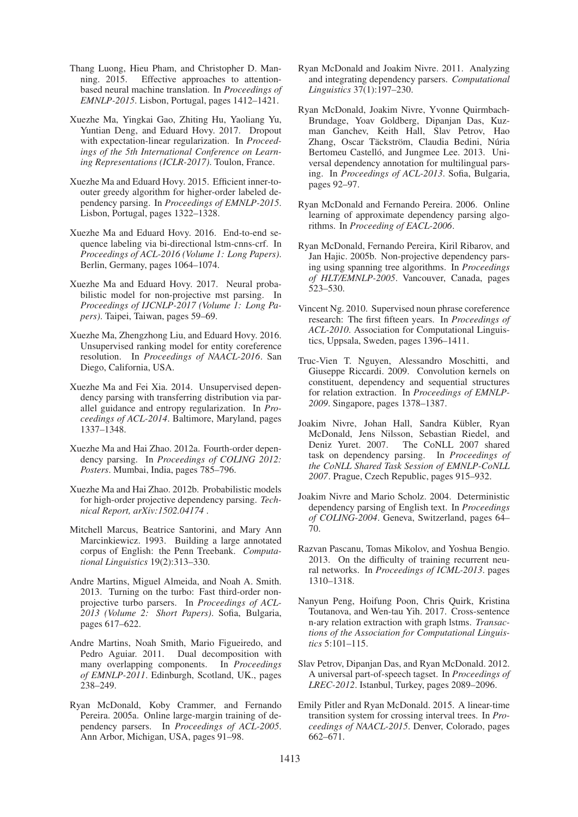- Thang Luong, Hieu Pham, and Christopher D. Manning. 2015. Effective approaches to attentionbased neural machine translation. In *Proceedings of EMNLP-2015*. Lisbon, Portugal, pages 1412–1421.
- Xuezhe Ma, Yingkai Gao, Zhiting Hu, Yaoliang Yu, Yuntian Deng, and Eduard Hovy. 2017. Dropout with expectation-linear regularization. In *Proceedings of the 5th International Conference on Learning Representations (ICLR-2017)*. Toulon, France.
- Xuezhe Ma and Eduard Hovy. 2015. Efficient inner-toouter greedy algorithm for higher-order labeled dependency parsing. In *Proceedings of EMNLP-2015*. Lisbon, Portugal, pages 1322–1328.
- Xuezhe Ma and Eduard Hovy. 2016. End-to-end sequence labeling via bi-directional lstm-cnns-crf. In *Proceedings of ACL-2016 (Volume 1: Long Papers)*. Berlin, Germany, pages 1064–1074.
- Xuezhe Ma and Eduard Hovy. 2017. Neural probabilistic model for non-projective mst parsing. In *Proceedings of IJCNLP-2017 (Volume 1: Long Papers)*. Taipei, Taiwan, pages 59–69.
- Xuezhe Ma, Zhengzhong Liu, and Eduard Hovy. 2016. Unsupervised ranking model for entity coreference resolution. In *Proceedings of NAACL-2016*. San Diego, California, USA.
- Xuezhe Ma and Fei Xia. 2014. Unsupervised dependency parsing with transferring distribution via parallel guidance and entropy regularization. In *Proceedings of ACL-2014*. Baltimore, Maryland, pages 1337–1348.
- Xuezhe Ma and Hai Zhao. 2012a. Fourth-order dependency parsing. In *Proceedings of COLING 2012: Posters*. Mumbai, India, pages 785–796.
- Xuezhe Ma and Hai Zhao. 2012b. Probabilistic models for high-order projective dependency parsing. *Technical Report, arXiv:1502.04174* .
- Mitchell Marcus, Beatrice Santorini, and Mary Ann Marcinkiewicz. 1993. Building a large annotated corpus of English: the Penn Treebank. *Computational Linguistics* 19(2):313–330.
- Andre Martins, Miguel Almeida, and Noah A. Smith. 2013. Turning on the turbo: Fast third-order nonprojective turbo parsers. In *Proceedings of ACL-2013 (Volume 2: Short Papers)*. Sofia, Bulgaria, pages 617–622.
- Andre Martins, Noah Smith, Mario Figueiredo, and Pedro Aguiar. 2011. Dual decomposition with many overlapping components. In *Proceedings of EMNLP-2011*. Edinburgh, Scotland, UK., pages 238–249.
- Ryan McDonald, Koby Crammer, and Fernando Pereira. 2005a. Online large-margin training of dependency parsers. In *Proceedings of ACL-2005*. Ann Arbor, Michigan, USA, pages 91–98.
- Ryan McDonald and Joakim Nivre. 2011. Analyzing and integrating dependency parsers. *Computational Linguistics* 37(1):197–230.
- Ryan McDonald, Joakim Nivre, Yvonne Quirmbach-Brundage, Yoav Goldberg, Dipanjan Das, Kuzman Ganchev, Keith Hall, Slav Petrov, Hao Zhang, Oscar Täckström, Claudia Bedini, Núria Bertomeu Castelló, and Jungmee Lee. 2013. Universal dependency annotation for multilingual parsing. In *Proceedings of ACL-2013*. Sofia, Bulgaria, pages 92–97.
- Ryan McDonald and Fernando Pereira. 2006. Online learning of approximate dependency parsing algorithms. In *Proceeding of EACL-2006*.
- Ryan McDonald, Fernando Pereira, Kiril Ribarov, and Jan Hajic. 2005b. Non-projective dependency parsing using spanning tree algorithms. In *Proceedings of HLT/EMNLP-2005*. Vancouver, Canada, pages 523–530.
- Vincent Ng. 2010. Supervised noun phrase coreference research: The first fifteen years. In *Proceedings of ACL-2010*. Association for Computational Linguistics, Uppsala, Sweden, pages 1396–1411.
- Truc-Vien T. Nguyen, Alessandro Moschitti, and Giuseppe Riccardi. 2009. Convolution kernels on constituent, dependency and sequential structures for relation extraction. In *Proceedings of EMNLP-2009*. Singapore, pages 1378–1387.
- Joakim Nivre, Johan Hall, Sandra Kübler, Ryan McDonald, Jens Nilsson, Sebastian Riedel, and Deniz Yuret. 2007. The CoNLL 2007 shared task on dependency parsing. In *Proceedings of the CoNLL Shared Task Session of EMNLP-CoNLL 2007*. Prague, Czech Republic, pages 915–932.
- Joakim Nivre and Mario Scholz. 2004. Deterministic dependency parsing of English text. In *Proceedings of COLING-2004*. Geneva, Switzerland, pages 64– 70.
- Razvan Pascanu, Tomas Mikolov, and Yoshua Bengio. 2013. On the difficulty of training recurrent neural networks. In *Proceedings of ICML-2013*. pages 1310–1318.
- Nanyun Peng, Hoifung Poon, Chris Quirk, Kristina Toutanova, and Wen-tau Yih. 2017. Cross-sentence n-ary relation extraction with graph lstms. *Transactions of the Association for Computational Linguistics* 5:101–115.
- Slav Petrov, Dipanjan Das, and Ryan McDonald. 2012. A universal part-of-speech tagset. In *Proceedings of LREC-2012*. Istanbul, Turkey, pages 2089–2096.
- Emily Pitler and Ryan McDonald. 2015. A linear-time transition system for crossing interval trees. In *Proceedings of NAACL-2015*. Denver, Colorado, pages 662–671.